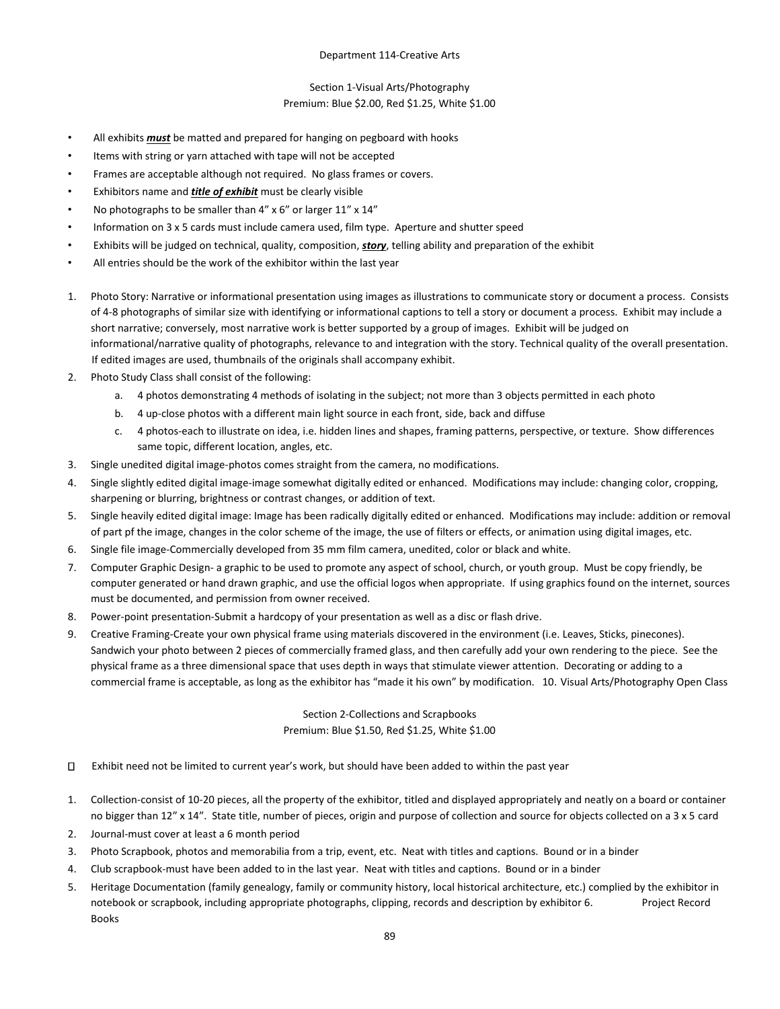#### Section 1-Visual Arts/Photography Premium: Blue \$2.00, Red \$1.25, White \$1.00

- All exhibits *must* be matted and prepared for hanging on pegboard with hooks
- Items with string or yarn attached with tape will not be accepted
- Frames are acceptable although not required. No glass frames or covers.
- Exhibitors name and *title of exhibit* must be clearly visible
- No photographs to be smaller than 4" x 6" or larger 11" x 14"
- Information on 3 x 5 cards must include camera used, film type. Aperture and shutter speed
- Exhibits will be judged on technical, quality, composition, *story*, telling ability and preparation of the exhibit
- All entries should be the work of the exhibitor within the last year
- 1. Photo Story: Narrative or informational presentation using images as illustrations to communicate story or document a process. Consists of 4-8 photographs of similar size with identifying or informational captions to tell a story or document a process. Exhibit may include a short narrative; conversely, most narrative work is better supported by a group of images. Exhibit will be judged on informational/narrative quality of photographs, relevance to and integration with the story. Technical quality of the overall presentation. If edited images are used, thumbnails of the originals shall accompany exhibit.
- 2. Photo Study Class shall consist of the following:
	- a. 4 photos demonstrating 4 methods of isolating in the subject; not more than 3 objects permitted in each photo
	- b. 4 up-close photos with a different main light source in each front, side, back and diffuse
	- c. 4 photos-each to illustrate on idea, i.e. hidden lines and shapes, framing patterns, perspective, or texture. Show differences same topic, different location, angles, etc.
- 3. Single unedited digital image-photos comes straight from the camera, no modifications.
- 4. Single slightly edited digital image-image somewhat digitally edited or enhanced. Modifications may include: changing color, cropping, sharpening or blurring, brightness or contrast changes, or addition of text.
- 5. Single heavily edited digital image: Image has been radically digitally edited or enhanced. Modifications may include: addition or removal of part pf the image, changes in the color scheme of the image, the use of filters or effects, or animation using digital images, etc.
- 6. Single file image-Commercially developed from 35 mm film camera, unedited, color or black and white.
- 7. Computer Graphic Design- a graphic to be used to promote any aspect of school, church, or youth group. Must be copy friendly, be computer generated or hand drawn graphic, and use the official logos when appropriate. If using graphics found on the internet, sources must be documented, and permission from owner received.
- 8. Power-point presentation-Submit a hardcopy of your presentation as well as a disc or flash drive.
- 9. Creative Framing-Create your own physical frame using materials discovered in the environment (i.e. Leaves, Sticks, pinecones). Sandwich your photo between 2 pieces of commercially framed glass, and then carefully add your own rendering to the piece. See the physical frame as a three dimensional space that uses depth in ways that stimulate viewer attention. Decorating or adding to a commercial frame is acceptable, as long as the exhibitor has "made it his own" by modification. 10. Visual Arts/Photography Open Class

# Section 2-Collections and Scrapbooks Premium: Blue \$1.50, Red \$1.25, White \$1.00

- $\Box$ Exhibit need not be limited to current year's work, but should have been added to within the past year
- 1. Collection-consist of 10-20 pieces, all the property of the exhibitor, titled and displayed appropriately and neatly on a board or container no bigger than 12" x 14". State title, number of pieces, origin and purpose of collection and source for objects collected on a 3 x 5 card
- 2. Journal-must cover at least a 6 month period
- 3. Photo Scrapbook, photos and memorabilia from a trip, event, etc. Neat with titles and captions. Bound or in a binder
- 4. Club scrapbook-must have been added to in the last year. Neat with titles and captions. Bound or in a binder
- 5. Heritage Documentation (family genealogy, family or community history, local historical architecture, etc.) complied by the exhibitor in notebook or scrapbook, including appropriate photographs, clipping, records and description by exhibitor 6. Project Record Books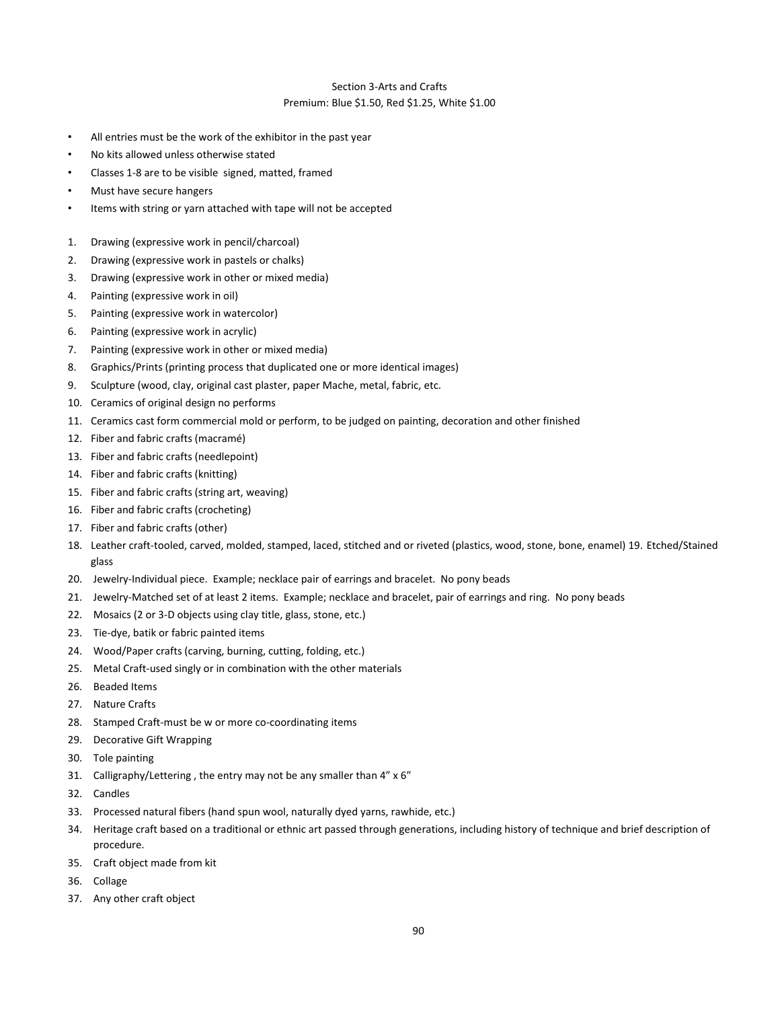# Section 3-Arts and Crafts

#### Premium: Blue \$1.50, Red \$1.25, White \$1.00

- All entries must be the work of the exhibitor in the past year
- No kits allowed unless otherwise stated
- Classes 1-8 are to be visible signed, matted, framed
- Must have secure hangers
- Items with string or yarn attached with tape will not be accepted
- 1. Drawing (expressive work in pencil/charcoal)
- 2. Drawing (expressive work in pastels or chalks)
- 3. Drawing (expressive work in other or mixed media)
- 4. Painting (expressive work in oil)
- 5. Painting (expressive work in watercolor)
- 6. Painting (expressive work in acrylic)
- 7. Painting (expressive work in other or mixed media)
- 8. Graphics/Prints (printing process that duplicated one or more identical images)
- 9. Sculpture (wood, clay, original cast plaster, paper Mache, metal, fabric, etc.
- 10. Ceramics of original design no performs
- 11. Ceramics cast form commercial mold or perform, to be judged on painting, decoration and other finished
- 12. Fiber and fabric crafts (macramé)
- 13. Fiber and fabric crafts (needlepoint)
- 14. Fiber and fabric crafts (knitting)
- 15. Fiber and fabric crafts (string art, weaving)
- 16. Fiber and fabric crafts (crocheting)
- 17. Fiber and fabric crafts (other)
- 18. Leather craft-tooled, carved, molded, stamped, laced, stitched and or riveted (plastics, wood, stone, bone, enamel) 19. Etched/Stained glass
- 20. Jewelry-Individual piece. Example; necklace pair of earrings and bracelet. No pony beads
- 21. Jewelry-Matched set of at least 2 items. Example; necklace and bracelet, pair of earrings and ring. No pony beads
- 22. Mosaics (2 or 3-D objects using clay title, glass, stone, etc.)
- 23. Tie-dye, batik or fabric painted items
- 24. Wood/Paper crafts (carving, burning, cutting, folding, etc.)
- 25. Metal Craft-used singly or in combination with the other materials
- 26. Beaded Items
- 27. Nature Crafts
- 28. Stamped Craft-must be w or more co-coordinating items
- 29. Decorative Gift Wrapping
- 30. Tole painting
- 31. Calligraphy/Lettering , the entry may not be any smaller than 4" x 6"
- 32. Candles
- 33. Processed natural fibers (hand spun wool, naturally dyed yarns, rawhide, etc.)
- 34. Heritage craft based on a traditional or ethnic art passed through generations, including history of technique and brief description of procedure.
- 35. Craft object made from kit
- 36. Collage
- 37. Any other craft object